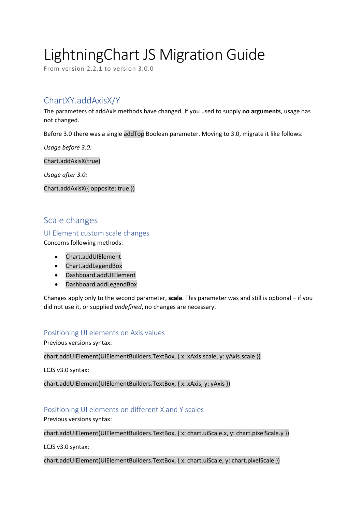# LightningChart JS Migration Guide

From version 2.2.1 to version 3.0.0

# ChartXY.addAxisX/Y

The parameters of addAxis methods have changed. If you used to supply **no arguments**, usage has not changed.

Before 3.0 there was a single addTop Boolean parameter. Moving to 3.0, migrate it like follows:

*Usage before 3.0:*

Chart.addAxisX(true)

*Usage after 3.0:*

Chart.addAxisX({ opposite: true })

# Scale changes

UI Element custom scale changes

Concerns following methods:

- Chart.addUIElement
- Chart.addLegendBox
- Dashboard.addUIElement
- Dashboard.addLegendBox

Changes apply only to the second parameter, **scale**. This parameter was and still is optional – if you did not use it, or supplied *undefined*, no changes are necessary.

#### Positioning UI elements on Axis values

Previous versions syntax:

chart.addUIElement(UIElementBuilders.TextBox, { x: xAxis.scale, y: yAxis.scale })

LCJS v3.0 syntax:

chart.addUIElement(UIElementBuilders.TextBox, { x: xAxis, y: yAxis })

## Positioning UI elements on different X and Y scales

Previous versions syntax:

chart.addUIElement(UIElementBuilders.TextBox, { x: chart.uiScale.x, y: chart.pixelScale.y })

LCJS v3.0 syntax:

chart.addUIElement(UIElementBuilders.TextBox, { x: chart.uiScale, y: chart.pixelScale })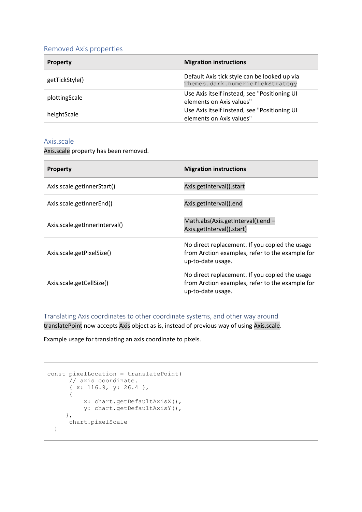## Removed Axis properties

| <b>Property</b> | <b>Migration instructions</b>                                                   |
|-----------------|---------------------------------------------------------------------------------|
| getTickStyle()  | Default Axis tick style can be looked up via<br>Themes.dark.numericTickStrategy |
| plottingScale   | Use Axis itself instead, see "Positioning UI<br>elements on Axis values"        |
| heightScale     | Use Axis itself instead, see "Positioning UI<br>elements on Axis values"        |

#### Axis.scale

Axis.scale property has been removed.

| <b>Property</b>               | <b>Migration instructions</b>                                                                                          |
|-------------------------------|------------------------------------------------------------------------------------------------------------------------|
| Axis.scale.getInnerStart()    | Axis.getInterval().start                                                                                               |
| Axis.scale.getInnerEnd()      | Axis.getInterval().end                                                                                                 |
| Axis.scale.getInnerInterval() | Math.abs(Axis.getInterval().end-<br>Axis.getInterval().start)                                                          |
| Axis.scale.getPixelSize()     | No direct replacement. If you copied the usage<br>from Arction examples, refer to the example for<br>up-to-date usage. |
| Axis.scale.getCellSize()      | No direct replacement. If you copied the usage<br>from Arction examples, refer to the example for<br>up-to-date usage. |

Translating Axis coordinates to other coordinate systems, and other way around

translatePoint now accepts Axis object as is, instead of previous way of using Axis.scale.

Example usage for translating an axis coordinate to pixels.

```
const pixelLocation = translatePoint(
      // axis coordinate.
       { x: 116.9, y: 26.4 },
       {
           x: chart.getDefaultAxisX(),
           y: chart.getDefaultAxisY(),
      },
      chart.pixelScale
   )
```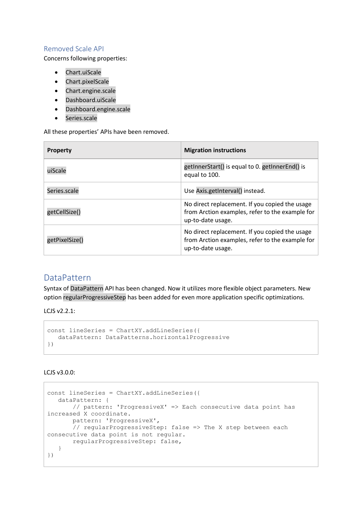## Removed Scale API

Concerns following properties:

- Chart.uiScale
- Chart.pixelScale
- Chart.engine.scale
- Dashboard.uiScale
- Dashboard.engine.scale
- Series.scale

All these properties' APIs have been removed.

| <b>Property</b> | <b>Migration instructions</b>                                                                                          |
|-----------------|------------------------------------------------------------------------------------------------------------------------|
| uiScale         | getInnerStart() is equal to 0. getInnerEnd() is<br>equal to 100.                                                       |
| Series.scale    | Use Axis.getInterval() instead.                                                                                        |
| getCellSize()   | No direct replacement. If you copied the usage<br>from Arction examples, refer to the example for<br>up-to-date usage. |
| getPixelSize()  | No direct replacement. If you copied the usage<br>from Arction examples, refer to the example for<br>up-to-date usage. |

# DataPattern

Syntax of DataPattern API has been changed. Now it utilizes more flexible object parameters. New option regularProgressiveStep has been added for even more application specific optimizations.

LCJS v2.2.1:

```
const lineSeries = ChartXY.addLineSeries({
    dataPattern: DataPatterns.horizontalProgressive
})
```
#### LCJS v3.0.0:

```
const lineSeries = ChartXY.addLineSeries({
   dataPattern: {
        // pattern: 'ProgressiveX' => Each consecutive data point has 
increased X coordinate.
        pattern: 'ProgressiveX',
        // regularProgressiveStep: false => The X step between each 
consecutive data point is not regular.
        regularProgressiveStep: false,
    }
})
```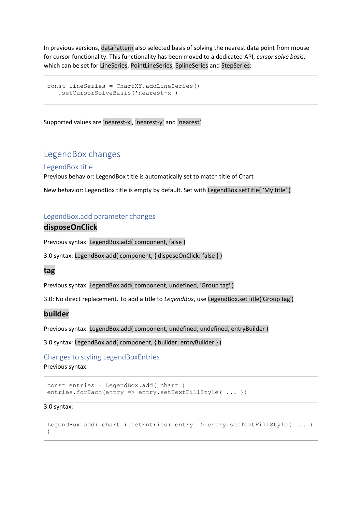In previous versions, dataPattern also selected basis of solving the nearest data point from mouse for cursor functionality. This functionality has been moved to a dedicated API, *cursor solve basis*, which can be set for LineSeries, PointLineSeries, SplineSeries and StepSeries:

```
const lineSeries = ChartXY.addLineSeries()
    .setCursorSolveBasis('nearest-x')
```
Supported values are 'nearest-x', 'nearest-y' and 'nearest'

# LegendBox changes

#### LegendBox title

Previous behavior: LegendBox title is automatically set to match title of Chart

New behavior: LegendBox title is empty by default. Set with LegendBox.setTitle( 'My title' )

#### LegendBox.add parameter changes

## **disposeOnClick**

Previous syntax: LegendBox.add( component, false )

3.0 syntax: LegendBox.add( component, { disposeOnClick: false } )

## **tag**

Previous syntax: LegendBox.add( component, undefined, 'Group tag' )

3.0: No direct replacement. To add a title to *LegendBox*, use LegendBox.setTitle('Group tag')

#### **builder**

Previous syntax: LegendBox.add( component, undefined, undefined, entryBuilder )

3.0 syntax: LegendBox.add( component, { builder: entryBuilder } )

Changes to styling LegendBoxEntries Previous syntax:

```
const entries = LegendBox.add( chart )
entries.forEach(entry => entry.setTextFillStyle( ... ))
```
3.0 syntax:

```
LegendBox.add( chart ).setEntries( entry => entry.setTextFillStyle( ... )
\lambda
```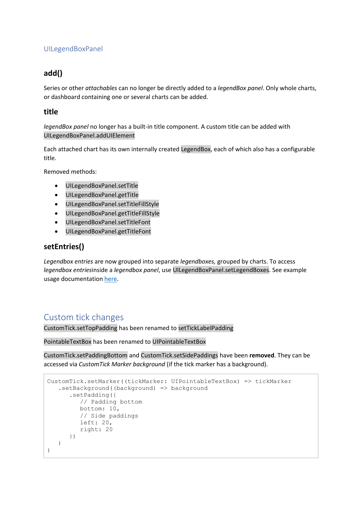# UILegendBoxPanel

# **add()**

Series or other *attachables* can no longer be directly added to a *legendBox panel*. Only whole charts, or dashboard containing one or several charts can be added.

## **title**

*legendBox panel* no longer has a built-in title component. A custom title can be added with UILegendBoxPanel.addUIElement

Each attached chart has its own internally created LegendBox, each of which also has a configurable title.

Removed methods:

- UILegendBoxPanel.setTitle
- UILegendBoxPanel.getTitle
- UILegendBoxPanel.setTitleFillStyle
- UILegendBoxPanel.getTitleFillStyle
- UILegendBoxPanel.setTitleFont
- UILegendBoxPanel.getTitleFont

# **setEntries()**

*Legendbox entries* are now grouped into separate *legendboxes,* grouped by charts. To access *legendbox entries*inside a *legendbox panel*, use UILegendBoxPanel.setLegendBoxes. See example usage documentation [here.](https://www.arction.com/lightningchart-js-api-documentation/v3.0.0/classes/uilegendboxpanel.html#setlegendboxes)

# Custom tick changes

CustomTick.setTopPadding has been renamed to setTickLabelPadding

PointableTextBox has been renamed to UIPointableTextBox

CustomTick.setPaddingBottom and CustomTick.setSidePaddings have been **removed**. They can be accessed via *CustomTick Marker background* (if the tick marker has a background).

```
CustomTick.setMarker((tickMarker: UIPointableTextBox) => tickMarker
    .setBackground((background) => background
       .setPadding({
          // Padding bottom
          bottom: 10,
          // Side paddings
          left: 20,
          right: 20
       })
    )
)
```